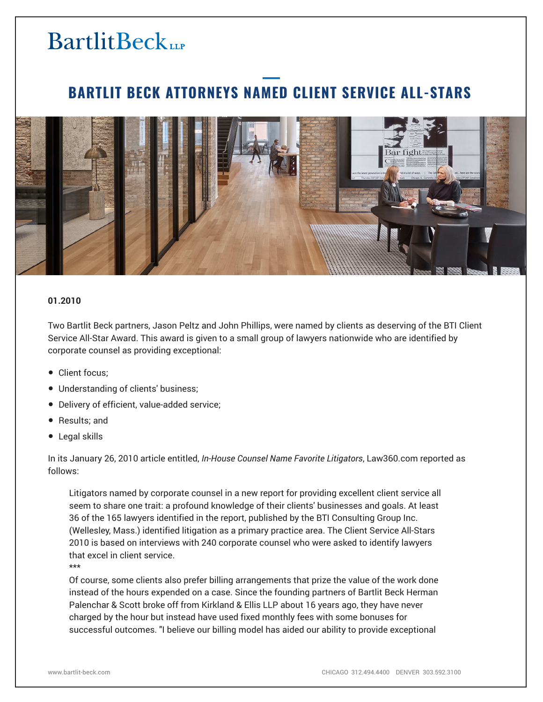# **BartlitBeck**

### **BARTLIT BECK ATTORNEYS NAMED CLIENT SERVICE ALL-STARS**



#### **01.2010**

Two Bartlit Beck partners, Jason Peltz and John Phillips, were named by clients as deserving of the BTI Client Service All-Star Award. This award is given to a small group of lawyers nationwide who are identified by corporate counsel as providing exceptional:

- Client focus:
- Understanding of clients' business;
- Delivery of efficient, value-added service;
- Results; and
- Legal skills

In its January 26, 2010 article entitled, *In-House Counsel Name Favorite Litigators*, Law360.com reported as follows:

Litigators named by corporate counsel in a new report for providing excellent client service all seem to share one trait: a profound knowledge of their clients' businesses and goals. At least 36 of the 165 lawyers identified in the report, published by the BTI Consulting Group Inc. (Wellesley, Mass.) identified litigation as a primary practice area. The Client Service All-Stars 2010 is based on interviews with 240 corporate counsel who were asked to identify lawyers that excel in client service.

\*\*\*

Of course, some clients also prefer billing arrangements that prize the value of the work done instead of the hours expended on a case. Since the founding partners of Bartlit Beck Herman Palenchar & Scott broke off from Kirkland & Ellis LLP about 16 years ago, they have never charged by the hour but instead have used fixed monthly fees with some bonuses for successful outcomes. "I believe our billing model has aided our ability to provide exceptional